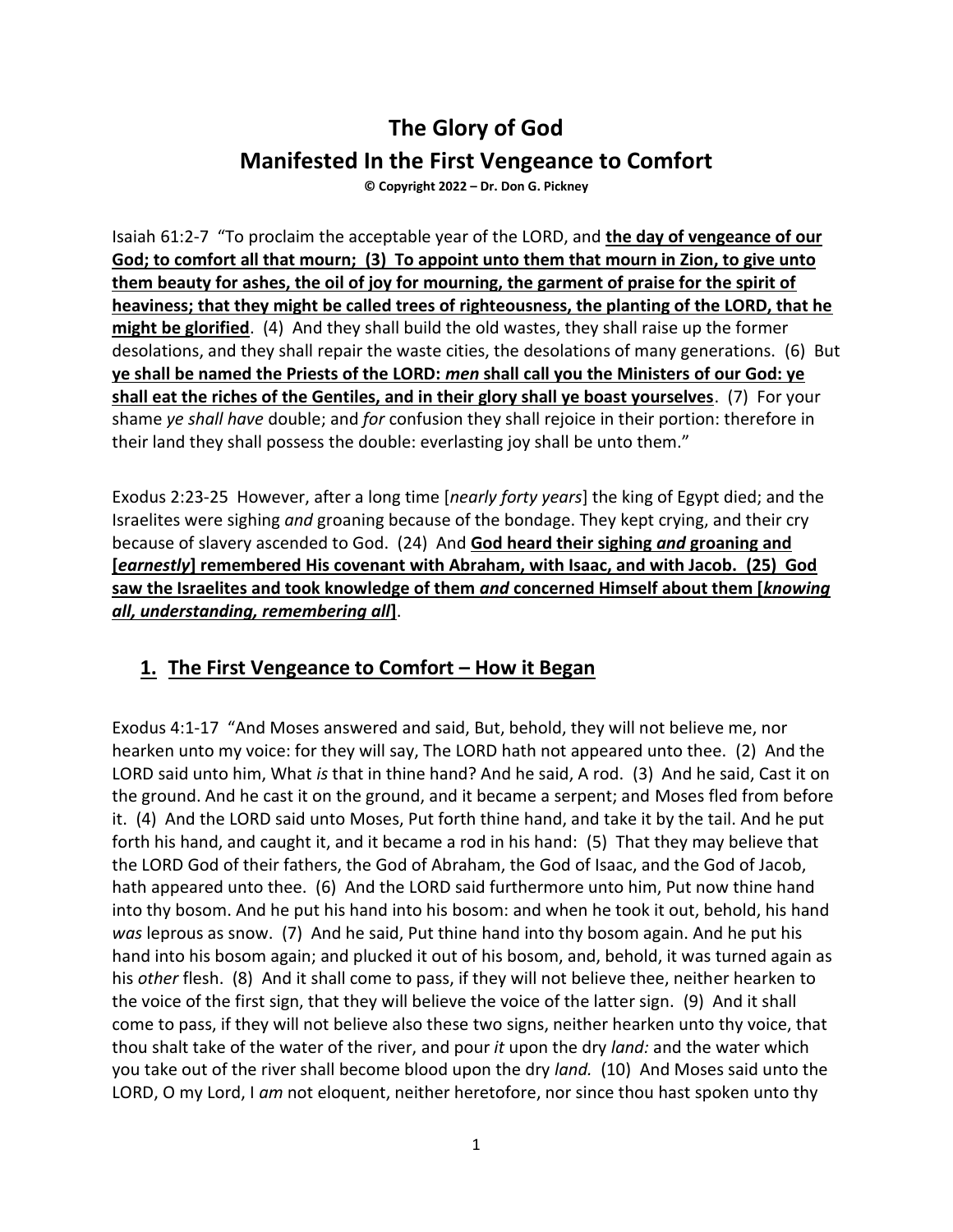# **The Glory of God Manifested In the First Vengeance to Comfort**

**© Copyright 2022 – Dr. Don G. Pickney**

Isaiah 61:2-7 "To proclaim the acceptable year of the LORD, and **the day of vengeance of our God; to comfort all that mourn; (3) To appoint unto them that mourn in Zion, to give unto them beauty for ashes, the oil of joy for mourning, the garment of praise for the spirit of heaviness; that they might be called trees of righteousness, the planting of the LORD, that he might be glorified**. (4) And they shall build the old wastes, they shall raise up the former desolations, and they shall repair the waste cities, the desolations of many generations. (6) But **ye shall be named the Priests of the LORD:** *men* **shall call you the Ministers of our God: ye shall eat the riches of the Gentiles, and in their glory shall ye boast yourselves**. (7) For your shame *ye shall have* double; and *for* confusion they shall rejoice in their portion: therefore in their land they shall possess the double: everlasting joy shall be unto them."

Exodus 2:23-25 However, after a long time [*nearly forty years*] the king of Egypt died; and the Israelites were sighing *and* groaning because of the bondage. They kept crying, and their cry because of slavery ascended to God. (24) And **God heard their sighing** *and* **groaning and [***earnestly***] remembered His covenant with Abraham, with Isaac, and with Jacob. (25) God saw the Israelites and took knowledge of them** *and* **concerned Himself about them [***knowing all, understanding, remembering all***]**.

### **1. The First Vengeance to Comfort – How it Began**

Exodus 4:1-17 "And Moses answered and said, But, behold, they will not believe me, nor hearken unto my voice: for they will say, The LORD hath not appeared unto thee. (2) And the LORD said unto him, What *is* that in thine hand? And he said, A rod. (3) And he said, Cast it on the ground. And he cast it on the ground, and it became a serpent; and Moses fled from before it. (4) And the LORD said unto Moses, Put forth thine hand, and take it by the tail. And he put forth his hand, and caught it, and it became a rod in his hand: (5) That they may believe that the LORD God of their fathers, the God of Abraham, the God of Isaac, and the God of Jacob, hath appeared unto thee. (6) And the LORD said furthermore unto him, Put now thine hand into thy bosom. And he put his hand into his bosom: and when he took it out, behold, his hand *was* leprous as snow. (7) And he said, Put thine hand into thy bosom again. And he put his hand into his bosom again; and plucked it out of his bosom, and, behold, it was turned again as his *other* flesh. (8) And it shall come to pass, if they will not believe thee, neither hearken to the voice of the first sign, that they will believe the voice of the latter sign. (9) And it shall come to pass, if they will not believe also these two signs, neither hearken unto thy voice, that thou shalt take of the water of the river, and pour *it* upon the dry *land:* and the water which you take out of the river shall become blood upon the dry *land.* (10) And Moses said unto the LORD, O my Lord, I *am* not eloquent, neither heretofore, nor since thou hast spoken unto thy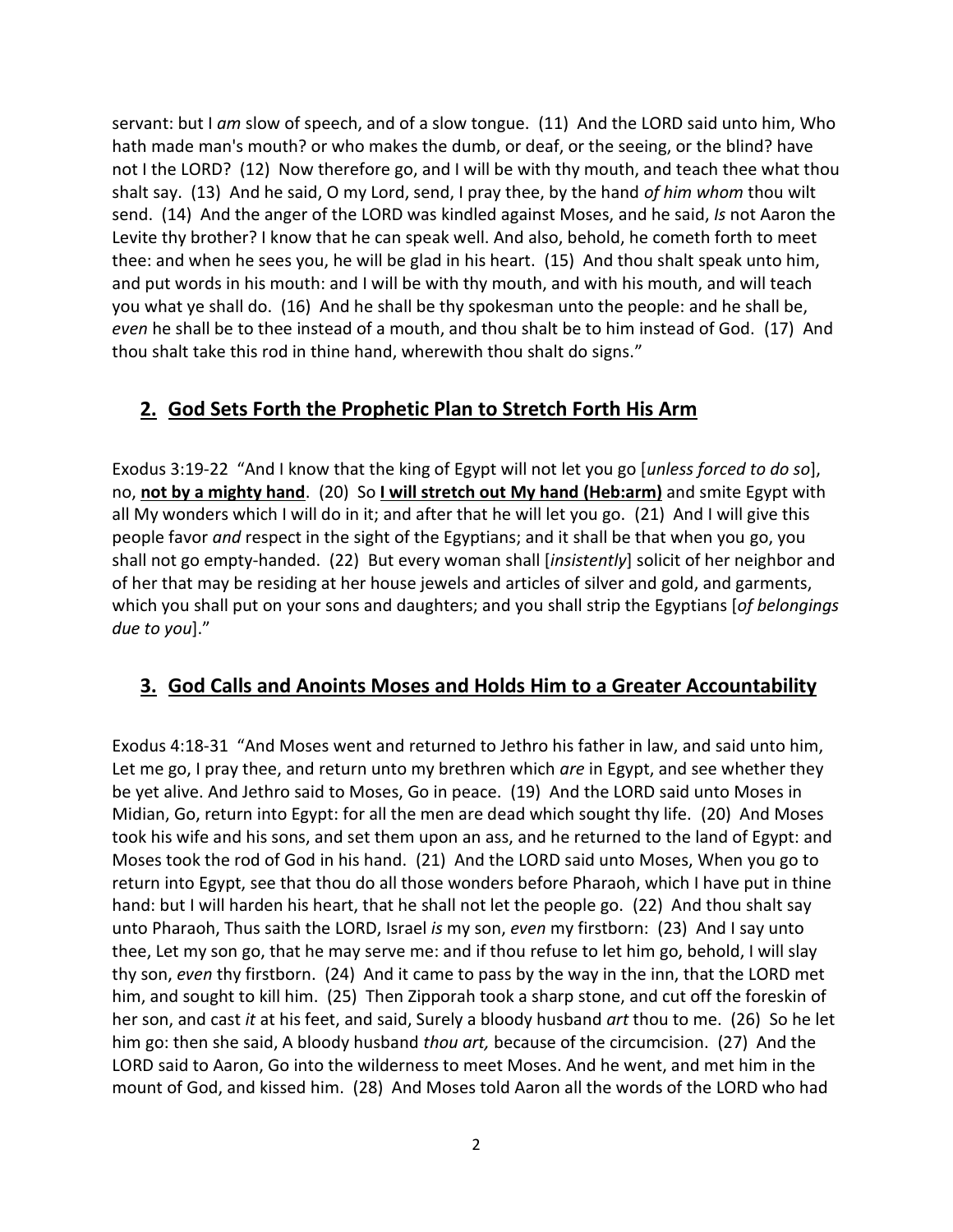servant: but I *am* slow of speech, and of a slow tongue. (11) And the LORD said unto him, Who hath made man's mouth? or who makes the dumb, or deaf, or the seeing, or the blind? have not I the LORD? (12) Now therefore go, and I will be with thy mouth, and teach thee what thou shalt say. (13) And he said, O my Lord, send, I pray thee, by the hand *of him whom* thou wilt send. (14) And the anger of the LORD was kindled against Moses, and he said, *Is* not Aaron the Levite thy brother? I know that he can speak well. And also, behold, he cometh forth to meet thee: and when he sees you, he will be glad in his heart. (15) And thou shalt speak unto him, and put words in his mouth: and I will be with thy mouth, and with his mouth, and will teach you what ye shall do. (16) And he shall be thy spokesman unto the people: and he shall be, *even* he shall be to thee instead of a mouth, and thou shalt be to him instead of God. (17) And thou shalt take this rod in thine hand, wherewith thou shalt do signs."

# **2. God Sets Forth the Prophetic Plan to Stretch Forth His Arm**

Exodus 3:19-22 "And I know that the king of Egypt will not let you go [*unless forced to do so*], no, **not by a mighty hand**. (20) So **I will stretch out My hand (Heb:arm)** and smite Egypt with all My wonders which I will do in it; and after that he will let you go. (21) And I will give this people favor *and* respect in the sight of the Egyptians; and it shall be that when you go, you shall not go empty-handed. (22) But every woman shall [*insistently*] solicit of her neighbor and of her that may be residing at her house jewels and articles of silver and gold, and garments, which you shall put on your sons and daughters; and you shall strip the Egyptians [*of belongings due to you*]."

# **3. God Calls and Anoints Moses and Holds Him to a Greater Accountability**

Exodus 4:18-31 "And Moses went and returned to Jethro his father in law, and said unto him, Let me go, I pray thee, and return unto my brethren which *are* in Egypt, and see whether they be yet alive. And Jethro said to Moses, Go in peace. (19) And the LORD said unto Moses in Midian, Go, return into Egypt: for all the men are dead which sought thy life. (20) And Moses took his wife and his sons, and set them upon an ass, and he returned to the land of Egypt: and Moses took the rod of God in his hand. (21) And the LORD said unto Moses, When you go to return into Egypt, see that thou do all those wonders before Pharaoh, which I have put in thine hand: but I will harden his heart, that he shall not let the people go. (22) And thou shalt say unto Pharaoh, Thus saith the LORD, Israel *is* my son, *even* my firstborn: (23) And I say unto thee, Let my son go, that he may serve me: and if thou refuse to let him go, behold, I will slay thy son, *even* thy firstborn. (24) And it came to pass by the way in the inn, that the LORD met him, and sought to kill him. (25) Then Zipporah took a sharp stone, and cut off the foreskin of her son, and cast *it* at his feet, and said, Surely a bloody husband *art* thou to me. (26) So he let him go: then she said, A bloody husband *thou art,* because of the circumcision. (27) And the LORD said to Aaron, Go into the wilderness to meet Moses. And he went, and met him in the mount of God, and kissed him. (28) And Moses told Aaron all the words of the LORD who had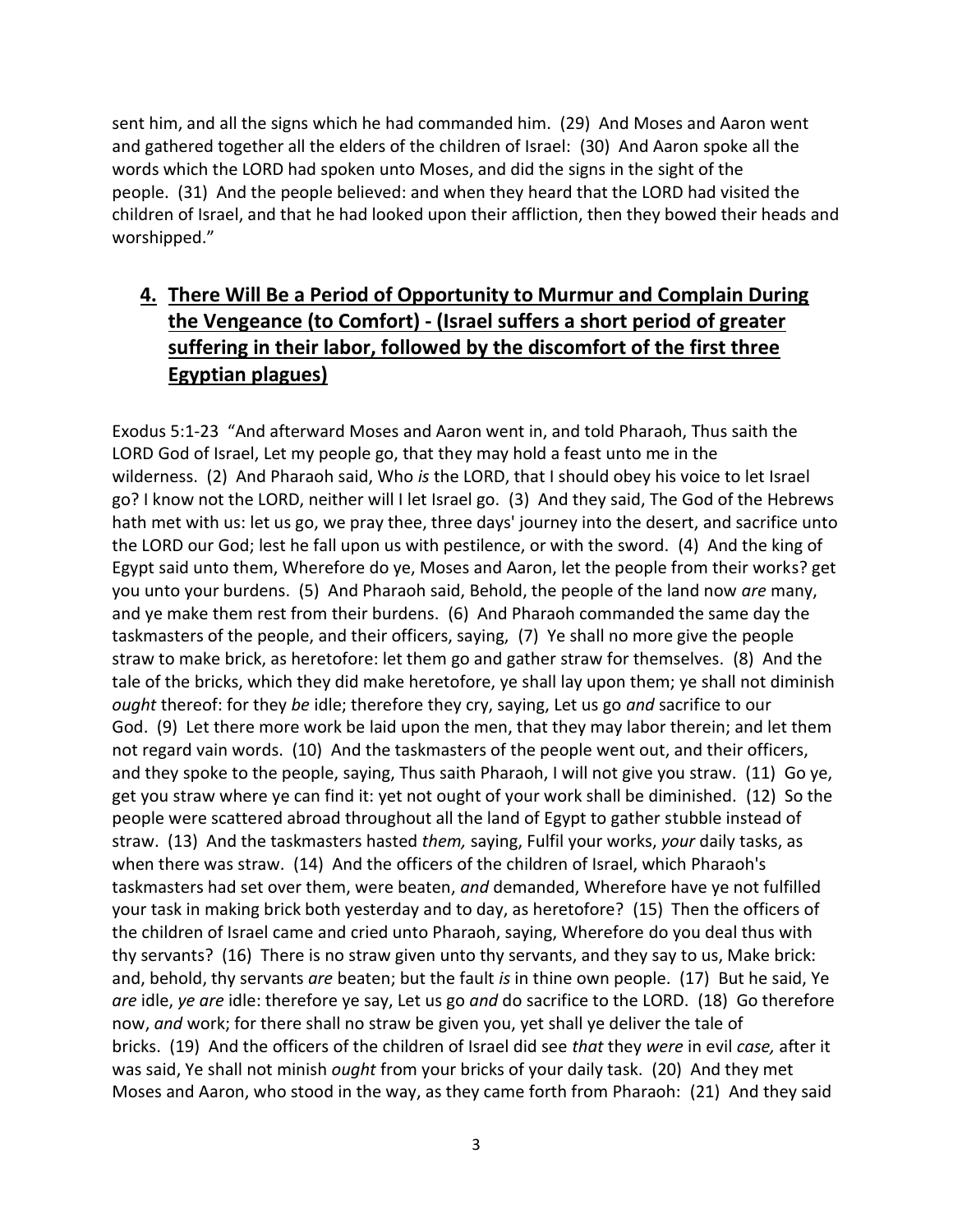sent him, and all the signs which he had commanded him. (29) And Moses and Aaron went and gathered together all the elders of the children of Israel: (30) And Aaron spoke all the words which the LORD had spoken unto Moses, and did the signs in the sight of the people. (31) And the people believed: and when they heard that the LORD had visited the children of Israel, and that he had looked upon their affliction, then they bowed their heads and worshipped."

# **4. There Will Be a Period of Opportunity to Murmur and Complain During the Vengeance (to Comfort) - (Israel suffers a short period of greater suffering in their labor, followed by the discomfort of the first three Egyptian plagues)**

Exodus 5:1-23 "And afterward Moses and Aaron went in, and told Pharaoh, Thus saith the LORD God of Israel, Let my people go, that they may hold a feast unto me in the wilderness. (2) And Pharaoh said, Who *is* the LORD, that I should obey his voice to let Israel go? I know not the LORD, neither will I let Israel go. (3) And they said, The God of the Hebrews hath met with us: let us go, we pray thee, three days' journey into the desert, and sacrifice unto the LORD our God; lest he fall upon us with pestilence, or with the sword. (4) And the king of Egypt said unto them, Wherefore do ye, Moses and Aaron, let the people from their works? get you unto your burdens. (5) And Pharaoh said, Behold, the people of the land now *are* many, and ye make them rest from their burdens. (6) And Pharaoh commanded the same day the taskmasters of the people, and their officers, saying, (7) Ye shall no more give the people straw to make brick, as heretofore: let them go and gather straw for themselves. (8) And the tale of the bricks, which they did make heretofore, ye shall lay upon them; ye shall not diminish *ought* thereof: for they *be* idle; therefore they cry, saying, Let us go *and* sacrifice to our God. (9) Let there more work be laid upon the men, that they may labor therein; and let them not regard vain words. (10) And the taskmasters of the people went out, and their officers, and they spoke to the people, saying, Thus saith Pharaoh, I will not give you straw. (11) Go ye, get you straw where ye can find it: yet not ought of your work shall be diminished. (12) So the people were scattered abroad throughout all the land of Egypt to gather stubble instead of straw. (13) And the taskmasters hasted *them,* saying, Fulfil your works, *your* daily tasks, as when there was straw. (14) And the officers of the children of Israel, which Pharaoh's taskmasters had set over them, were beaten, *and* demanded, Wherefore have ye not fulfilled your task in making brick both yesterday and to day, as heretofore? (15) Then the officers of the children of Israel came and cried unto Pharaoh, saying, Wherefore do you deal thus with thy servants? (16) There is no straw given unto thy servants, and they say to us, Make brick: and, behold, thy servants *are* beaten; but the fault *is* in thine own people. (17) But he said, Ye *are* idle, *ye are* idle: therefore ye say, Let us go *and* do sacrifice to the LORD. (18) Go therefore now, *and* work; for there shall no straw be given you, yet shall ye deliver the tale of bricks. (19) And the officers of the children of Israel did see *that* they *were* in evil *case,* after it was said, Ye shall not minish *ought* from your bricks of your daily task. (20) And they met Moses and Aaron, who stood in the way, as they came forth from Pharaoh: (21) And they said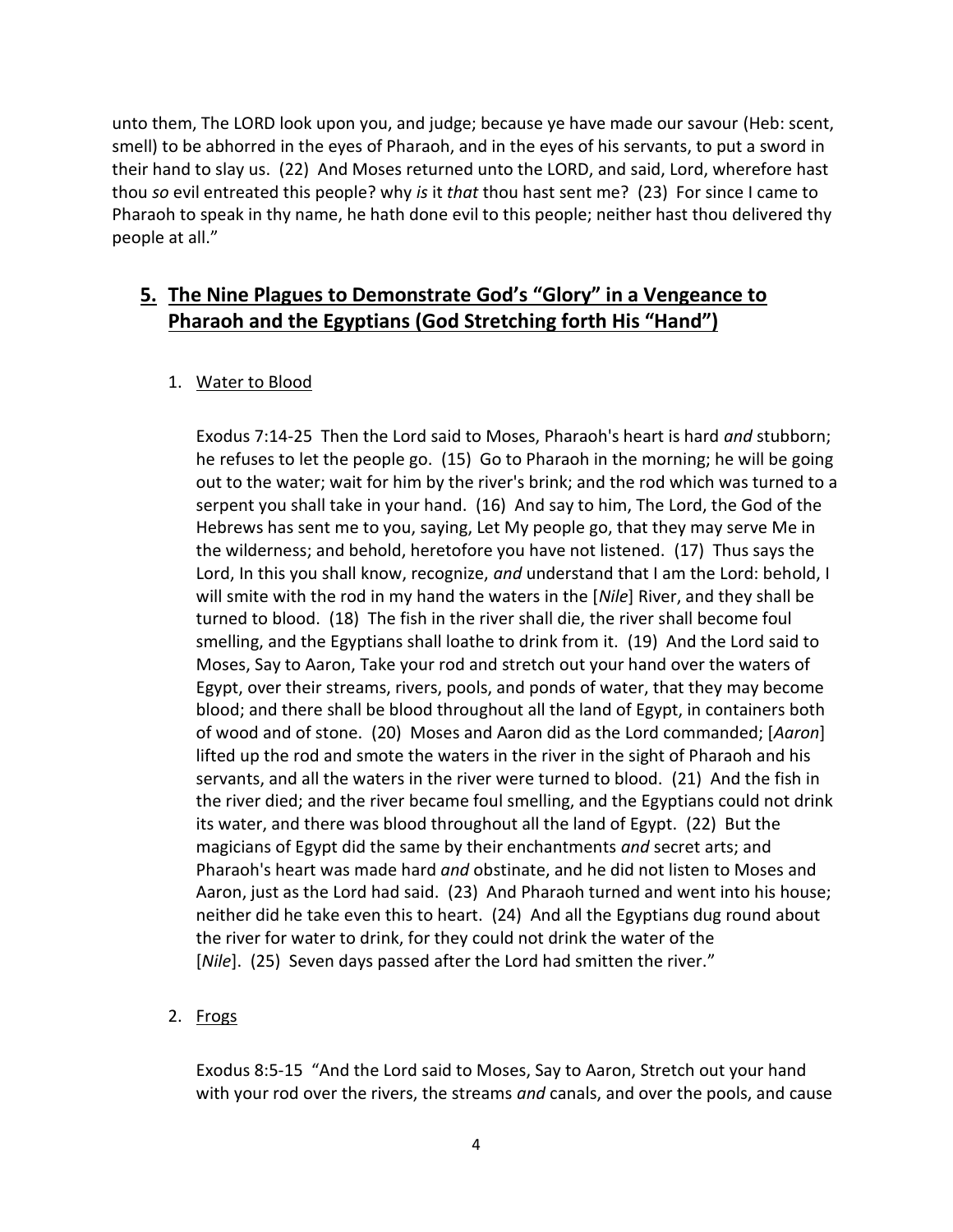unto them, The LORD look upon you, and judge; because ye have made our savour (Heb: scent, smell) to be abhorred in the eyes of Pharaoh, and in the eyes of his servants, to put a sword in their hand to slay us. (22) And Moses returned unto the LORD, and said, Lord, wherefore hast thou *so* evil entreated this people? why *is* it *that* thou hast sent me? (23) For since I came to Pharaoh to speak in thy name, he hath done evil to this people; neither hast thou delivered thy people at all."

# **5. The Nine Plagues to Demonstrate God's "Glory" in a Vengeance to Pharaoh and the Egyptians (God Stretching forth His "Hand")**

### 1. Water to Blood

Exodus 7:14-25 Then the Lord said to Moses, Pharaoh's heart is hard *and* stubborn; he refuses to let the people go. (15) Go to Pharaoh in the morning; he will be going out to the water; wait for him by the river's brink; and the rod which was turned to a serpent you shall take in your hand. (16) And say to him, The Lord, the God of the Hebrews has sent me to you, saying, Let My people go, that they may serve Me in the wilderness; and behold, heretofore you have not listened. (17) Thus says the Lord, In this you shall know, recognize, *and* understand that I am the Lord: behold, I will smite with the rod in my hand the waters in the [*Nile*] River, and they shall be turned to blood. (18) The fish in the river shall die, the river shall become foul smelling, and the Egyptians shall loathe to drink from it. (19) And the Lord said to Moses, Say to Aaron, Take your rod and stretch out your hand over the waters of Egypt, over their streams, rivers, pools, and ponds of water, that they may become blood; and there shall be blood throughout all the land of Egypt, in containers both of wood and of stone. (20) Moses and Aaron did as the Lord commanded; [*Aaron*] lifted up the rod and smote the waters in the river in the sight of Pharaoh and his servants, and all the waters in the river were turned to blood. (21) And the fish in the river died; and the river became foul smelling, and the Egyptians could not drink its water, and there was blood throughout all the land of Egypt. (22) But the magicians of Egypt did the same by their enchantments *and* secret arts; and Pharaoh's heart was made hard *and* obstinate, and he did not listen to Moses and Aaron, just as the Lord had said. (23) And Pharaoh turned and went into his house; neither did he take even this to heart. (24) And all the Egyptians dug round about the river for water to drink, for they could not drink the water of the [*Nile*]. (25) Seven days passed after the Lord had smitten the river."

### 2. Frogs

Exodus 8:5-15 "And the Lord said to Moses, Say to Aaron, Stretch out your hand with your rod over the rivers, the streams *and* canals, and over the pools, and cause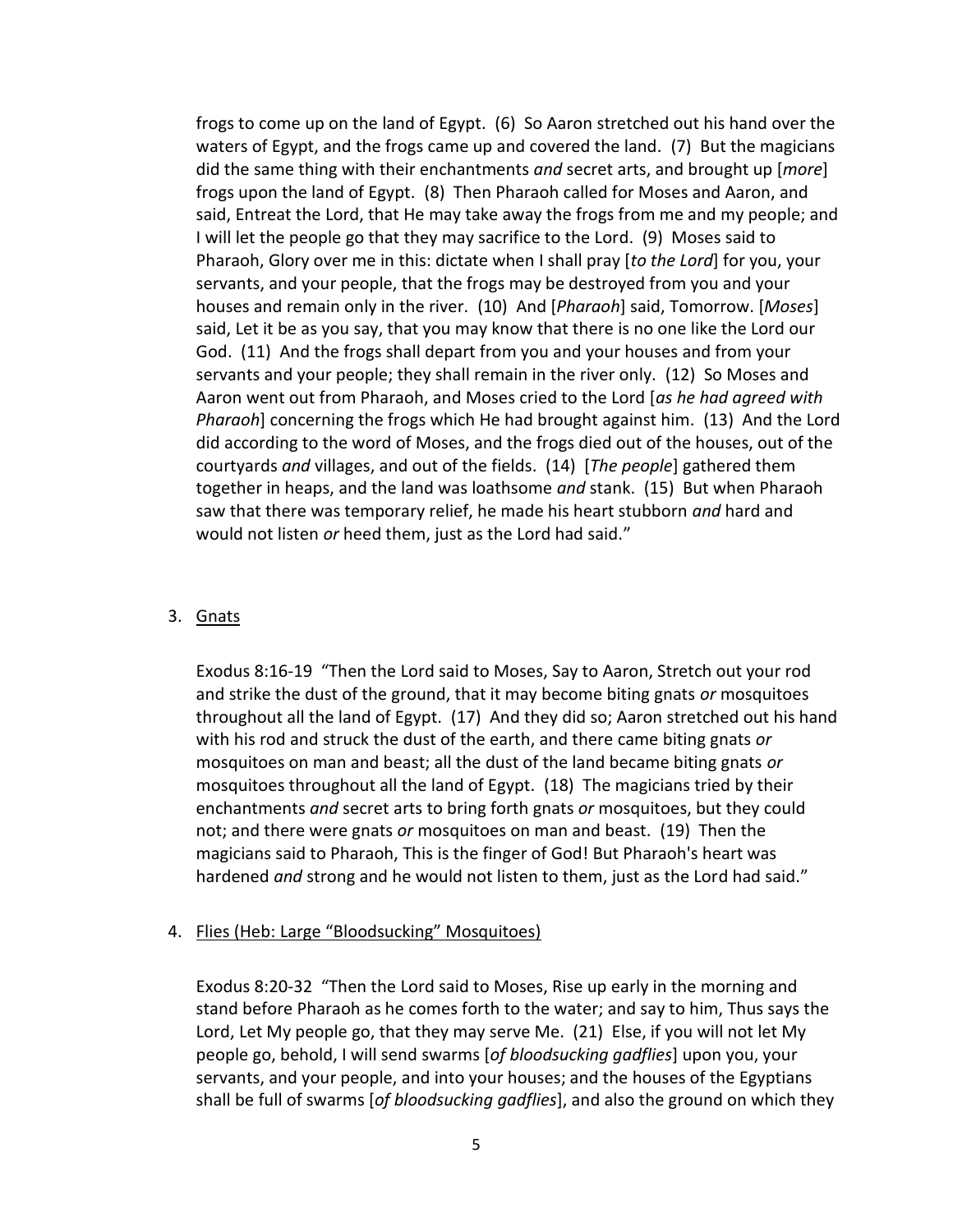frogs to come up on the land of Egypt. (6) So Aaron stretched out his hand over the waters of Egypt, and the frogs came up and covered the land. (7) But the magicians did the same thing with their enchantments *and* secret arts, and brought up [*more*] frogs upon the land of Egypt. (8) Then Pharaoh called for Moses and Aaron, and said, Entreat the Lord, that He may take away the frogs from me and my people; and I will let the people go that they may sacrifice to the Lord. (9) Moses said to Pharaoh, Glory over me in this: dictate when I shall pray [*to the Lord*] for you, your servants, and your people, that the frogs may be destroyed from you and your houses and remain only in the river. (10) And [*Pharaoh*] said, Tomorrow. [*Moses*] said, Let it be as you say, that you may know that there is no one like the Lord our God. (11) And the frogs shall depart from you and your houses and from your servants and your people; they shall remain in the river only. (12) So Moses and Aaron went out from Pharaoh, and Moses cried to the Lord [*as he had agreed with Pharaoh*] concerning the frogs which He had brought against him. (13) And the Lord did according to the word of Moses, and the frogs died out of the houses, out of the courtyards *and* villages, and out of the fields. (14) [*The people*] gathered them together in heaps, and the land was loathsome *and* stank. (15) But when Pharaoh saw that there was temporary relief, he made his heart stubborn *and* hard and would not listen *or* heed them, just as the Lord had said."

#### 3. Gnats

Exodus 8:16-19 "Then the Lord said to Moses, Say to Aaron, Stretch out your rod and strike the dust of the ground, that it may become biting gnats *or* mosquitoes throughout all the land of Egypt. (17) And they did so; Aaron stretched out his hand with his rod and struck the dust of the earth, and there came biting gnats *or* mosquitoes on man and beast; all the dust of the land became biting gnats *or* mosquitoes throughout all the land of Egypt. (18) The magicians tried by their enchantments *and* secret arts to bring forth gnats *or* mosquitoes, but they could not; and there were gnats *or* mosquitoes on man and beast. (19) Then the magicians said to Pharaoh, This is the finger of God! But Pharaoh's heart was hardened *and* strong and he would not listen to them, just as the Lord had said."

#### 4. Flies (Heb: Large "Bloodsucking" Mosquitoes)

Exodus 8:20-32 "Then the Lord said to Moses, Rise up early in the morning and stand before Pharaoh as he comes forth to the water; and say to him, Thus says the Lord, Let My people go, that they may serve Me. (21) Else, if you will not let My people go, behold, I will send swarms [*of bloodsucking gadflies*] upon you, your servants, and your people, and into your houses; and the houses of the Egyptians shall be full of swarms [*of bloodsucking gadflies*], and also the ground on which they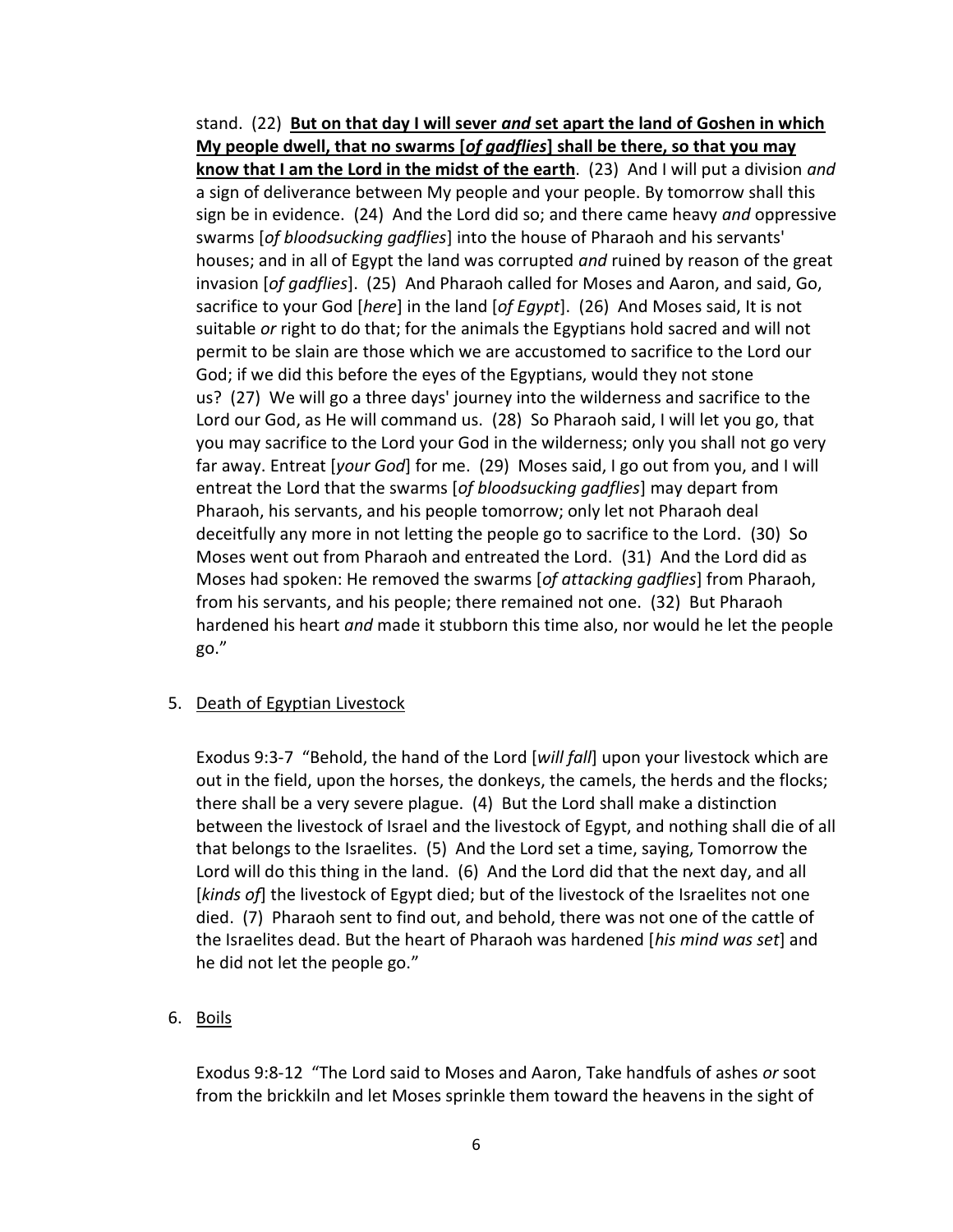stand. (22) **But on that day I will sever** *and* **set apart the land of Goshen in which My people dwell, that no swarms [***of gadflies***] shall be there, so that you may know that I am the Lord in the midst of the earth**. (23) And I will put a division *and* a sign of deliverance between My people and your people. By tomorrow shall this sign be in evidence. (24) And the Lord did so; and there came heavy *and* oppressive swarms [*of bloodsucking gadflies*] into the house of Pharaoh and his servants' houses; and in all of Egypt the land was corrupted *and* ruined by reason of the great invasion [*of gadflies*]. (25) And Pharaoh called for Moses and Aaron, and said, Go, sacrifice to your God [*here*] in the land [*of Egypt*]. (26) And Moses said, It is not suitable *or* right to do that; for the animals the Egyptians hold sacred and will not permit to be slain are those which we are accustomed to sacrifice to the Lord our God; if we did this before the eyes of the Egyptians, would they not stone us? (27) We will go a three days' journey into the wilderness and sacrifice to the Lord our God, as He will command us. (28) So Pharaoh said, I will let you go, that you may sacrifice to the Lord your God in the wilderness; only you shall not go very far away. Entreat [*your God*] for me. (29) Moses said, I go out from you, and I will entreat the Lord that the swarms [*of bloodsucking gadflies*] may depart from Pharaoh, his servants, and his people tomorrow; only let not Pharaoh deal deceitfully any more in not letting the people go to sacrifice to the Lord. (30) So Moses went out from Pharaoh and entreated the Lord. (31) And the Lord did as Moses had spoken: He removed the swarms [*of attacking gadflies*] from Pharaoh, from his servants, and his people; there remained not one. (32) But Pharaoh hardened his heart *and* made it stubborn this time also, nor would he let the people go."

#### 5. Death of Egyptian Livestock

Exodus 9:3-7 "Behold, the hand of the Lord [*will fall*] upon your livestock which are out in the field, upon the horses, the donkeys, the camels, the herds and the flocks; there shall be a very severe plague. (4) But the Lord shall make a distinction between the livestock of Israel and the livestock of Egypt, and nothing shall die of all that belongs to the Israelites. (5) And the Lord set a time, saying, Tomorrow the Lord will do this thing in the land. (6) And the Lord did that the next day, and all [*kinds of*] the livestock of Egypt died; but of the livestock of the Israelites not one died. (7) Pharaoh sent to find out, and behold, there was not one of the cattle of the Israelites dead. But the heart of Pharaoh was hardened [*his mind was set*] and he did not let the people go."

#### 6. Boils

Exodus 9:8-12 "The Lord said to Moses and Aaron, Take handfuls of ashes *or* soot from the brickkiln and let Moses sprinkle them toward the heavens in the sight of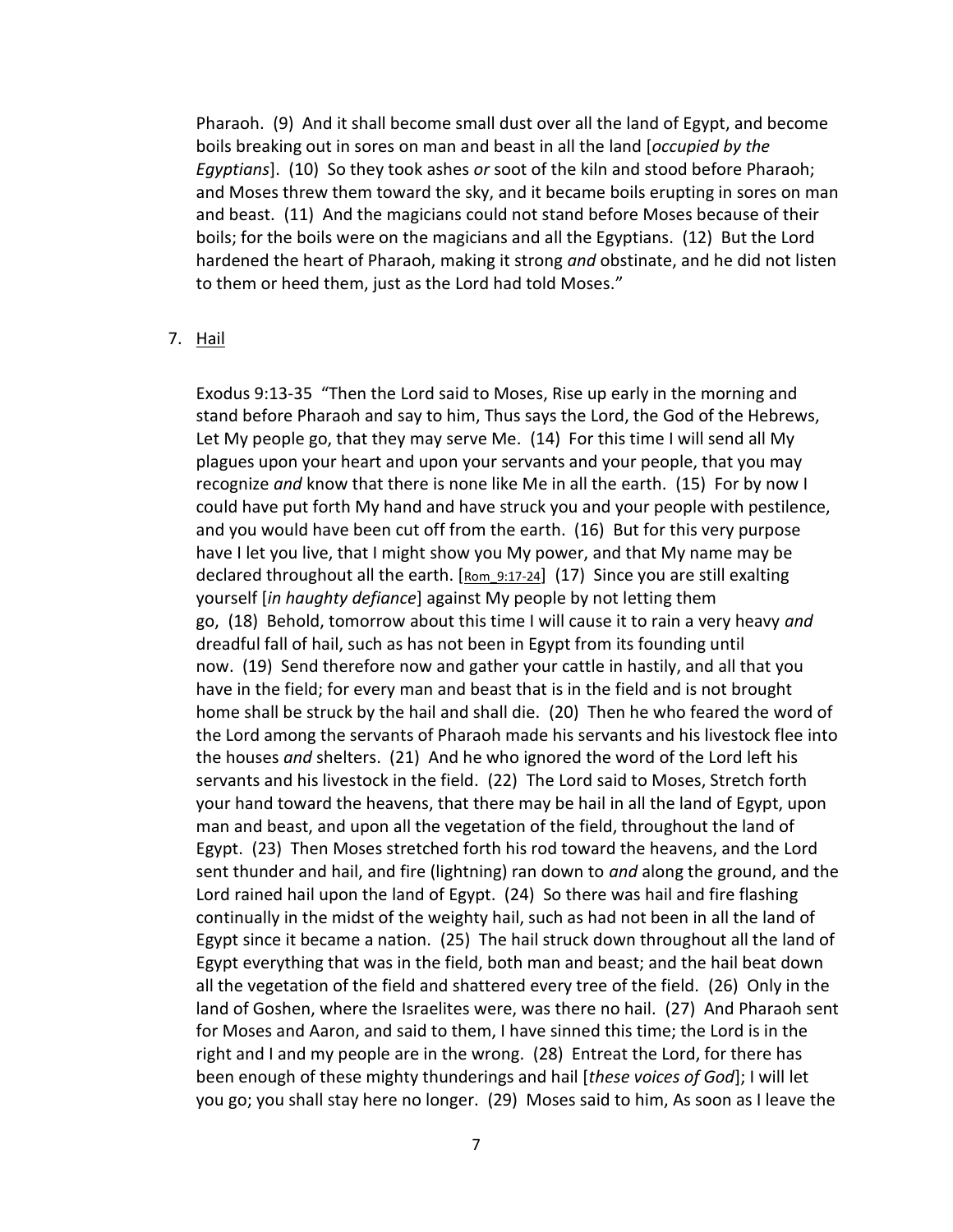Pharaoh. (9) And it shall become small dust over all the land of Egypt, and become boils breaking out in sores on man and beast in all the land [*occupied by the Egyptians*]. (10) So they took ashes *or* soot of the kiln and stood before Pharaoh; and Moses threw them toward the sky, and it became boils erupting in sores on man and beast. (11) And the magicians could not stand before Moses because of their boils; for the boils were on the magicians and all the Egyptians. (12) But the Lord hardened the heart of Pharaoh, making it strong *and* obstinate, and he did not listen to them or heed them, just as the Lord had told Moses."

#### 7. Hail

Exodus 9:13-35 "Then the Lord said to Moses, Rise up early in the morning and stand before Pharaoh and say to him, Thus says the Lord, the God of the Hebrews, Let My people go, that they may serve Me. (14) For this time I will send all My plagues upon your heart and upon your servants and your people, that you may recognize *and* know that there is none like Me in all the earth. (15) For by now I could have put forth My hand and have struck you and your people with pestilence, and you would have been cut off from the earth. (16) But for this very purpose have I let you live, that I might show you My power, and that My name may be declared throughout all the earth.  $[Rom_9:17-24]$  (17) Since you are still exalting yourself [*in haughty defiance*] against My people by not letting them go, (18) Behold, tomorrow about this time I will cause it to rain a very heavy *and* dreadful fall of hail, such as has not been in Egypt from its founding until now. (19) Send therefore now and gather your cattle in hastily, and all that you have in the field; for every man and beast that is in the field and is not brought home shall be struck by the hail and shall die. (20) Then he who feared the word of the Lord among the servants of Pharaoh made his servants and his livestock flee into the houses *and* shelters. (21) And he who ignored the word of the Lord left his servants and his livestock in the field. (22) The Lord said to Moses, Stretch forth your hand toward the heavens, that there may be hail in all the land of Egypt, upon man and beast, and upon all the vegetation of the field, throughout the land of Egypt. (23) Then Moses stretched forth his rod toward the heavens, and the Lord sent thunder and hail, and fire (lightning) ran down to *and* along the ground, and the Lord rained hail upon the land of Egypt. (24) So there was hail and fire flashing continually in the midst of the weighty hail, such as had not been in all the land of Egypt since it became a nation. (25) The hail struck down throughout all the land of Egypt everything that was in the field, both man and beast; and the hail beat down all the vegetation of the field and shattered every tree of the field. (26) Only in the land of Goshen, where the Israelites were, was there no hail. (27) And Pharaoh sent for Moses and Aaron, and said to them, I have sinned this time; the Lord is in the right and I and my people are in the wrong. (28) Entreat the Lord, for there has been enough of these mighty thunderings and hail [*these voices of God*]; I will let you go; you shall stay here no longer. (29) Moses said to him, As soon as I leave the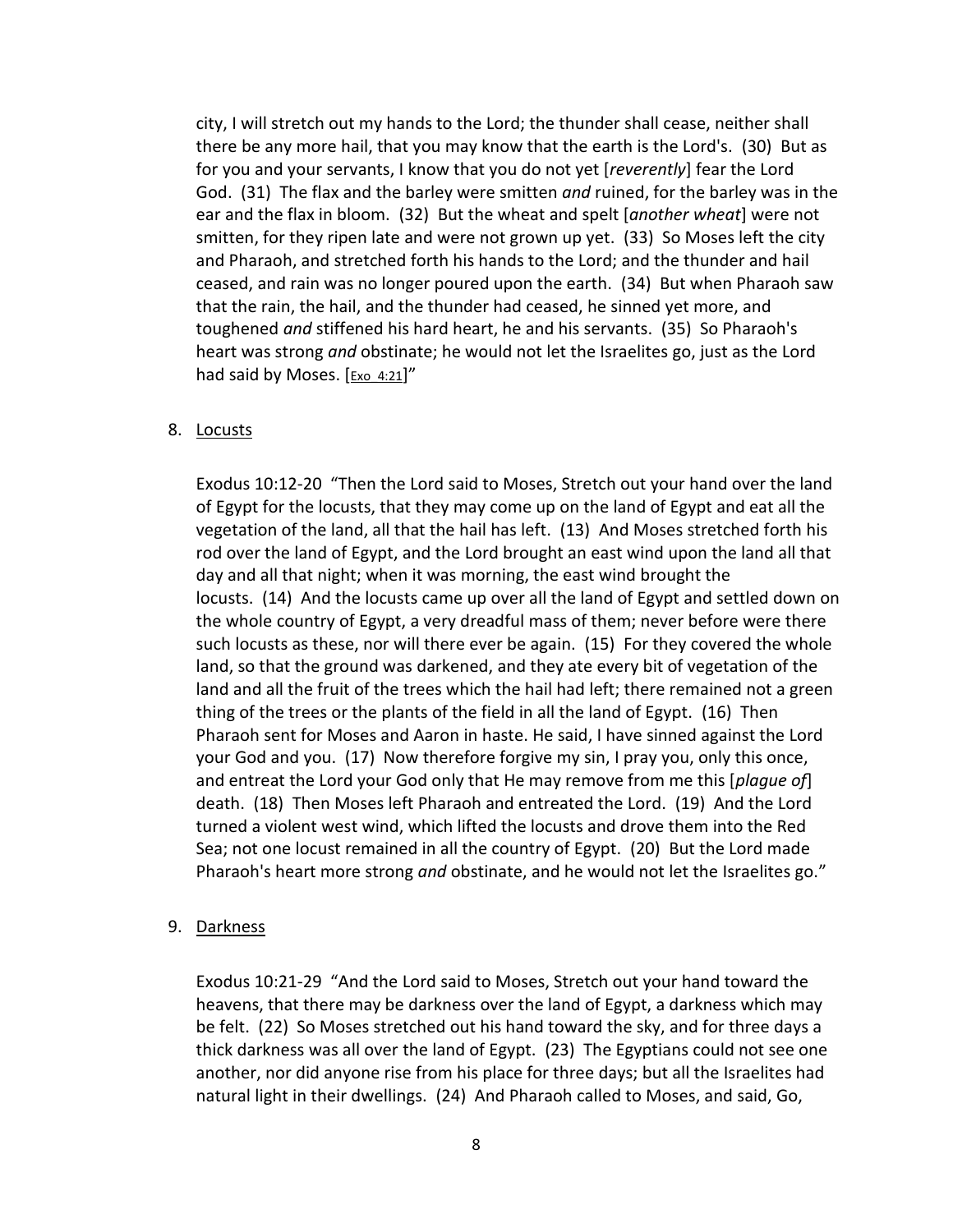city, I will stretch out my hands to the Lord; the thunder shall cease, neither shall there be any more hail, that you may know that the earth is the Lord's. (30) But as for you and your servants, I know that you do not yet [*reverently*] fear the Lord God. (31) The flax and the barley were smitten *and* ruined, for the barley was in the ear and the flax in bloom. (32) But the wheat and spelt [*another wheat*] were not smitten, for they ripen late and were not grown up yet. (33) So Moses left the city and Pharaoh, and stretched forth his hands to the Lord; and the thunder and hail ceased, and rain was no longer poured upon the earth. (34) But when Pharaoh saw that the rain, the hail, and the thunder had ceased, he sinned yet more, and toughened *and* stiffened his hard heart, he and his servants. (35) So Pharaoh's heart was strong *and* obstinate; he would not let the Israelites go, just as the Lord had said by Moses.  $[Exo 4:21]''$ 

#### 8. Locusts

Exodus 10:12-20 "Then the Lord said to Moses, Stretch out your hand over the land of Egypt for the locusts, that they may come up on the land of Egypt and eat all the vegetation of the land, all that the hail has left. (13) And Moses stretched forth his rod over the land of Egypt, and the Lord brought an east wind upon the land all that day and all that night; when it was morning, the east wind brought the locusts. (14) And the locusts came up over all the land of Egypt and settled down on the whole country of Egypt, a very dreadful mass of them; never before were there such locusts as these, nor will there ever be again. (15) For they covered the whole land, so that the ground was darkened, and they ate every bit of vegetation of the land and all the fruit of the trees which the hail had left; there remained not a green thing of the trees or the plants of the field in all the land of Egypt. (16) Then Pharaoh sent for Moses and Aaron in haste. He said, I have sinned against the Lord your God and you. (17) Now therefore forgive my sin, I pray you, only this once, and entreat the Lord your God only that He may remove from me this [*plague of*] death. (18) Then Moses left Pharaoh and entreated the Lord. (19) And the Lord turned a violent west wind, which lifted the locusts and drove them into the Red Sea; not one locust remained in all the country of Egypt. (20) But the Lord made Pharaoh's heart more strong *and* obstinate, and he would not let the Israelites go."

#### 9. Darkness

Exodus 10:21-29 "And the Lord said to Moses, Stretch out your hand toward the heavens, that there may be darkness over the land of Egypt, a darkness which may be felt. (22) So Moses stretched out his hand toward the sky, and for three days a thick darkness was all over the land of Egypt. (23) The Egyptians could not see one another, nor did anyone rise from his place for three days; but all the Israelites had natural light in their dwellings. (24) And Pharaoh called to Moses, and said, Go,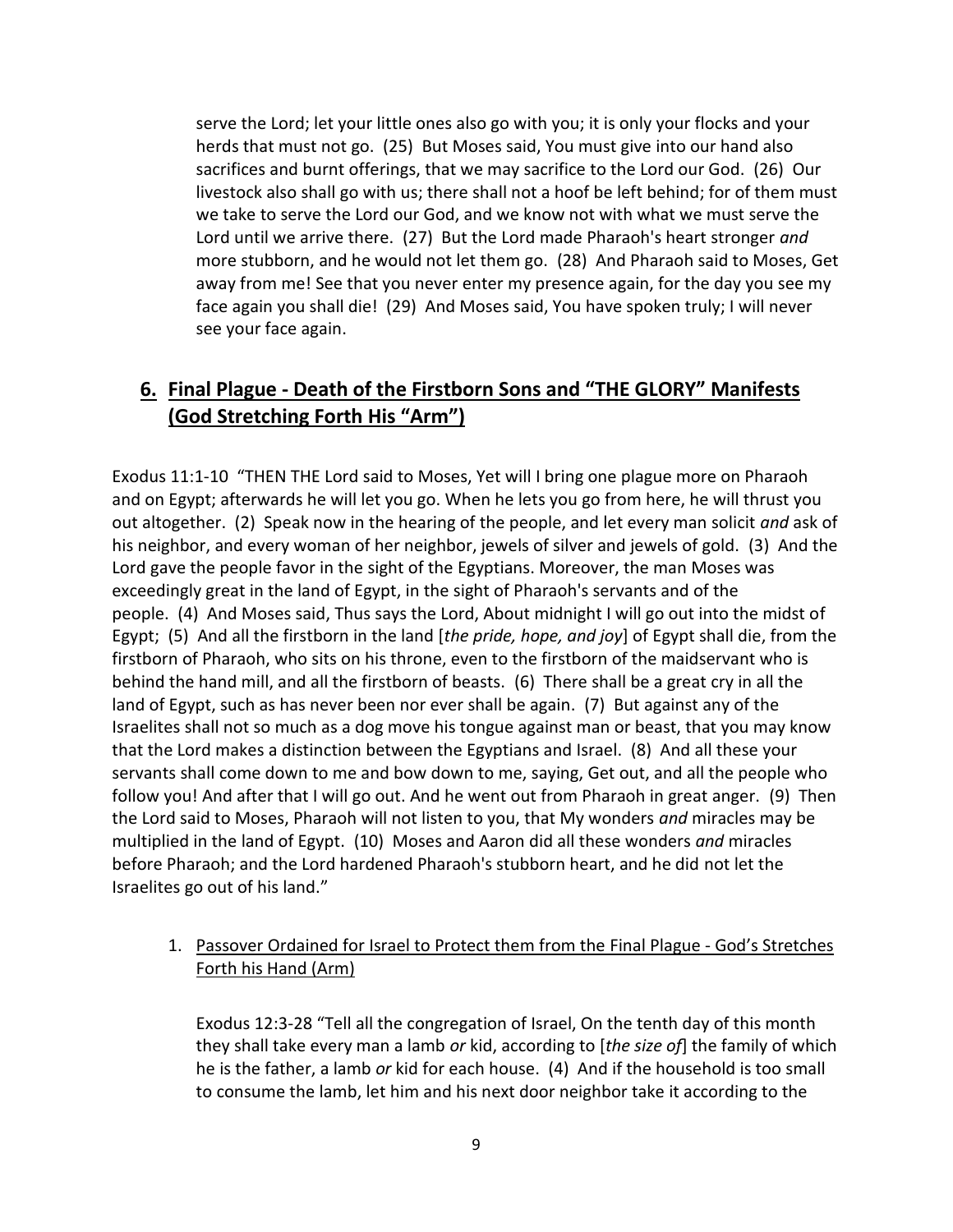serve the Lord; let your little ones also go with you; it is only your flocks and your herds that must not go. (25) But Moses said, You must give into our hand also sacrifices and burnt offerings, that we may sacrifice to the Lord our God. (26) Our livestock also shall go with us; there shall not a hoof be left behind; for of them must we take to serve the Lord our God, and we know not with what we must serve the Lord until we arrive there. (27) But the Lord made Pharaoh's heart stronger *and* more stubborn, and he would not let them go. (28) And Pharaoh said to Moses, Get away from me! See that you never enter my presence again, for the day you see my face again you shall die! (29) And Moses said, You have spoken truly; I will never see your face again.

# **6. Final Plague - Death of the Firstborn Sons and "THE GLORY" Manifests (God Stretching Forth His "Arm")**

Exodus 11:1-10 "THEN THE Lord said to Moses, Yet will I bring one plague more on Pharaoh and on Egypt; afterwards he will let you go. When he lets you go from here, he will thrust you out altogether. (2) Speak now in the hearing of the people, and let every man solicit *and* ask of his neighbor, and every woman of her neighbor, jewels of silver and jewels of gold. (3) And the Lord gave the people favor in the sight of the Egyptians. Moreover, the man Moses was exceedingly great in the land of Egypt, in the sight of Pharaoh's servants and of the people. (4) And Moses said, Thus says the Lord, About midnight I will go out into the midst of Egypt; (5) And all the firstborn in the land [*the pride, hope, and joy*] of Egypt shall die, from the firstborn of Pharaoh, who sits on his throne, even to the firstborn of the maidservant who is behind the hand mill, and all the firstborn of beasts. (6) There shall be a great cry in all the land of Egypt, such as has never been nor ever shall be again. (7) But against any of the Israelites shall not so much as a dog move his tongue against man or beast, that you may know that the Lord makes a distinction between the Egyptians and Israel. (8) And all these your servants shall come down to me and bow down to me, saying, Get out, and all the people who follow you! And after that I will go out. And he went out from Pharaoh in great anger. (9) Then the Lord said to Moses, Pharaoh will not listen to you, that My wonders *and* miracles may be multiplied in the land of Egypt. (10) Moses and Aaron did all these wonders *and* miracles before Pharaoh; and the Lord hardened Pharaoh's stubborn heart, and he did not let the Israelites go out of his land."

### 1. Passover Ordained for Israel to Protect them from the Final Plague - God's Stretches Forth his Hand (Arm)

Exodus 12:3-28 "Tell all the congregation of Israel, On the tenth day of this month they shall take every man a lamb *or* kid, according to [*the size of*] the family of which he is the father, a lamb *or* kid for each house. (4) And if the household is too small to consume the lamb, let him and his next door neighbor take it according to the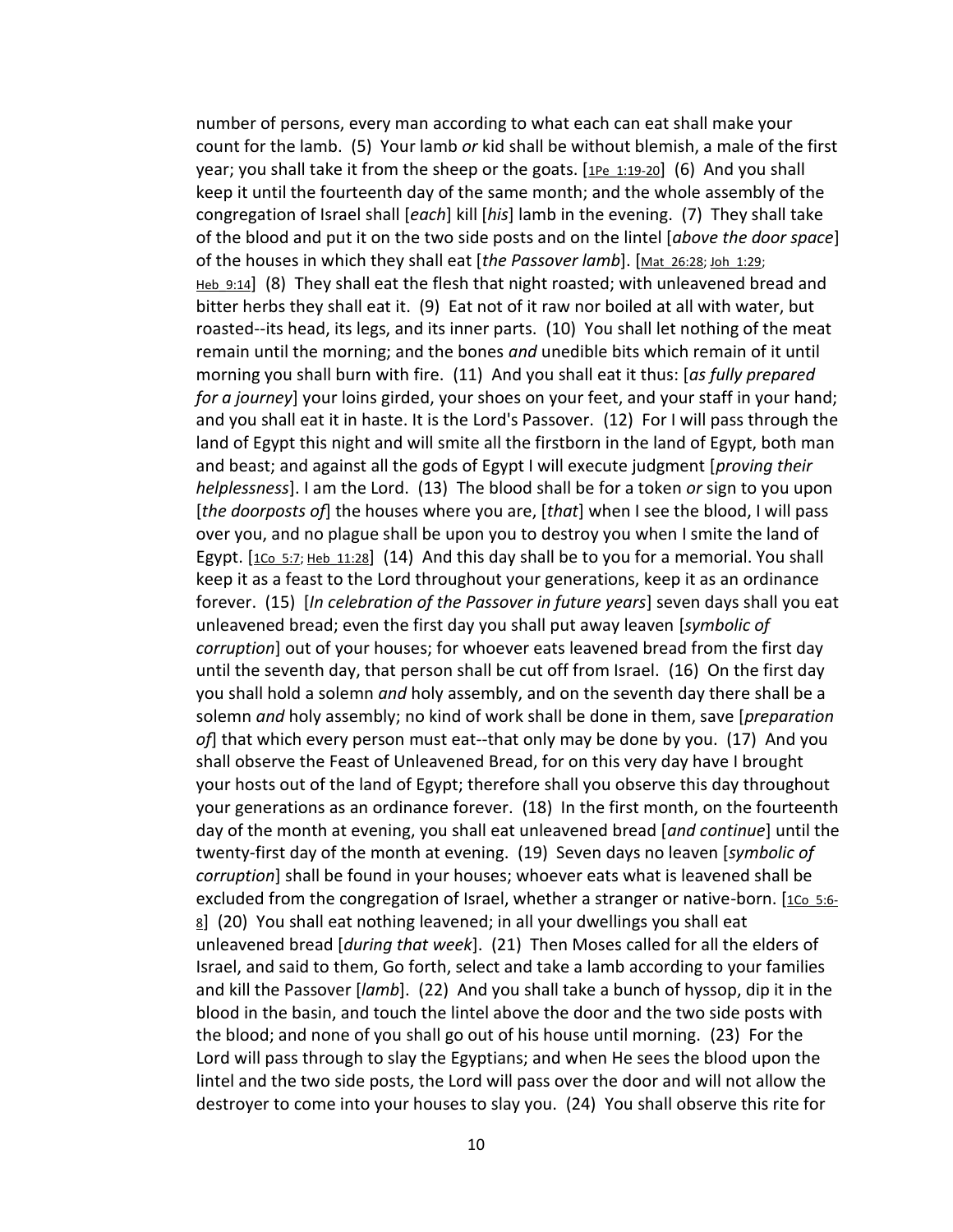number of persons, every man according to what each can eat shall make your count for the lamb. (5) Your lamb *or* kid shall be without blemish, a male of the first year; you shall take it from the sheep or the goats.  $[1P_{e_1}1:19-20]$  (6) And you shall keep it until the fourteenth day of the same month; and the whole assembly of the congregation of Israel shall [*each*] kill [*his*] lamb in the evening. (7) They shall take of the blood and put it on the two side posts and on the lintel [*above the door space*] of the houses in which they shall eat [the Passover lamb]. [Mat 26:28; Joh 1:29; Heb 9:14] (8) They shall eat the flesh that night roasted; with unleavened bread and bitter herbs they shall eat it. (9) Eat not of it raw nor boiled at all with water, but roasted--its head, its legs, and its inner parts. (10) You shall let nothing of the meat remain until the morning; and the bones *and* unedible bits which remain of it until morning you shall burn with fire. (11) And you shall eat it thus: [*as fully prepared for a journey*] your loins girded, your shoes on your feet, and your staff in your hand; and you shall eat it in haste. It is the Lord's Passover. (12) For I will pass through the land of Egypt this night and will smite all the firstborn in the land of Egypt, both man and beast; and against all the gods of Egypt I will execute judgment [*proving their helplessness*]. I am the Lord. (13) The blood shall be for a token *or* sign to you upon [*the doorposts of*] the houses where you are, [*that*] when I see the blood, I will pass over you, and no plague shall be upon you to destroy you when I smite the land of Egypt.  $[1 \text{Co } 5:7;$  Heb  $11:28]$  (14) And this day shall be to you for a memorial. You shall keep it as a feast to the Lord throughout your generations, keep it as an ordinance forever. (15) [*In celebration of the Passover in future years*] seven days shall you eat unleavened bread; even the first day you shall put away leaven [*symbolic of corruption*] out of your houses; for whoever eats leavened bread from the first day until the seventh day, that person shall be cut off from Israel. (16) On the first day you shall hold a solemn *and* holy assembly, and on the seventh day there shall be a solemn *and* holy assembly; no kind of work shall be done in them, save [*preparation of*] that which every person must eat--that only may be done by you. (17) And you shall observe the Feast of Unleavened Bread, for on this very day have I brought your hosts out of the land of Egypt; therefore shall you observe this day throughout your generations as an ordinance forever. (18) In the first month, on the fourteenth day of the month at evening, you shall eat unleavened bread [*and continue*] until the twenty-first day of the month at evening. (19) Seven days no leaven [*symbolic of corruption*] shall be found in your houses; whoever eats what is leavened shall be excluded from the congregation of Israel, whether a stranger or native-born.  $[1C_0, 5:6-1]$  $8$ ] (20) You shall eat nothing leavened; in all your dwellings you shall eat unleavened bread [*during that week*]. (21) Then Moses called for all the elders of Israel, and said to them, Go forth, select and take a lamb according to your families and kill the Passover [*lamb*]. (22) And you shall take a bunch of hyssop, dip it in the blood in the basin, and touch the lintel above the door and the two side posts with the blood; and none of you shall go out of his house until morning. (23) For the Lord will pass through to slay the Egyptians; and when He sees the blood upon the lintel and the two side posts, the Lord will pass over the door and will not allow the destroyer to come into your houses to slay you. (24) You shall observe this rite for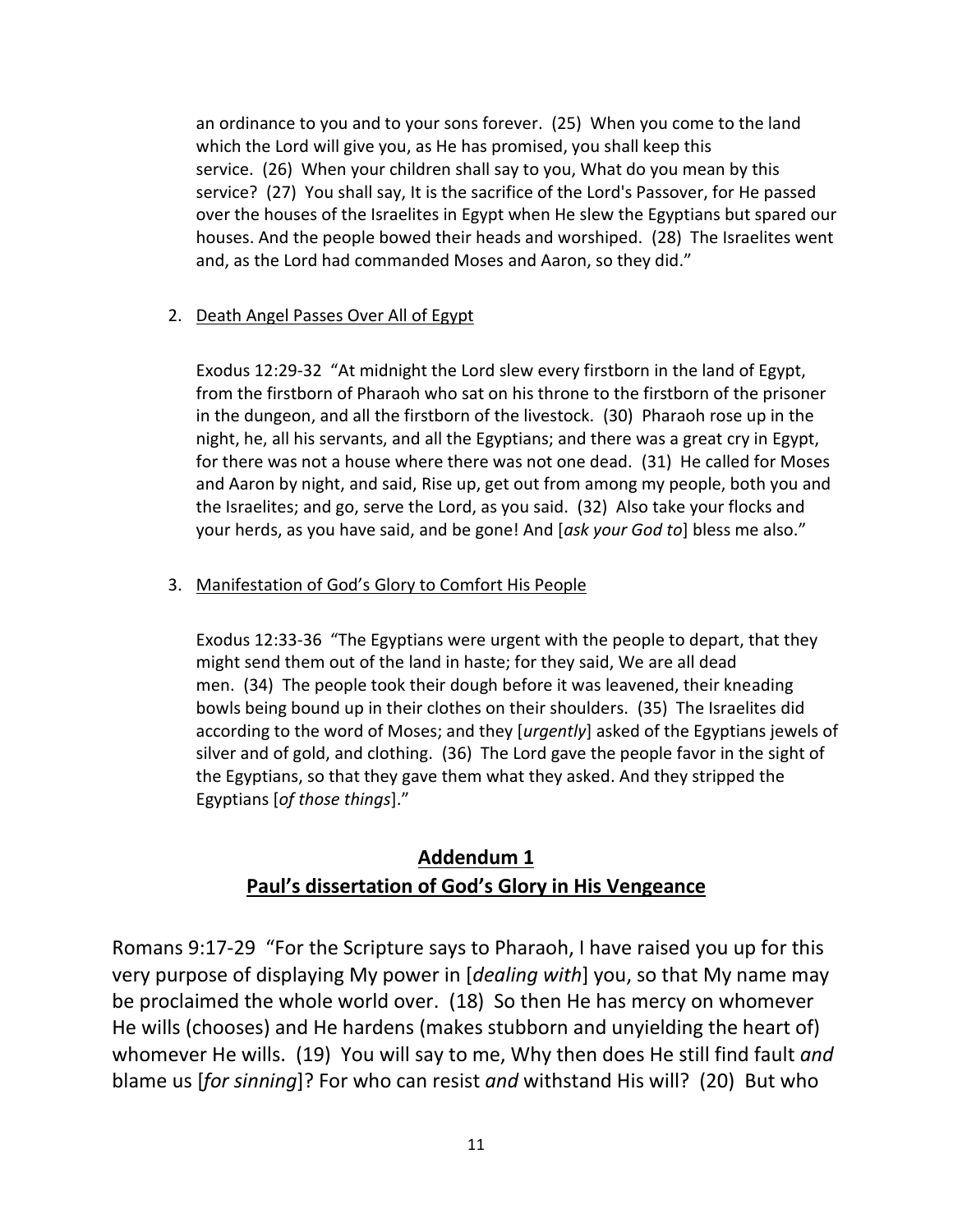an ordinance to you and to your sons forever. (25) When you come to the land which the Lord will give you, as He has promised, you shall keep this service. (26) When your children shall say to you, What do you mean by this service? (27) You shall say, It is the sacrifice of the Lord's Passover, for He passed over the houses of the Israelites in Egypt when He slew the Egyptians but spared our houses. And the people bowed their heads and worshiped. (28) The Israelites went and, as the Lord had commanded Moses and Aaron, so they did."

### 2. Death Angel Passes Over All of Egypt

Exodus 12:29-32 "At midnight the Lord slew every firstborn in the land of Egypt, from the firstborn of Pharaoh who sat on his throne to the firstborn of the prisoner in the dungeon, and all the firstborn of the livestock. (30) Pharaoh rose up in the night, he, all his servants, and all the Egyptians; and there was a great cry in Egypt, for there was not a house where there was not one dead. (31) He called for Moses and Aaron by night, and said, Rise up, get out from among my people, both you and the Israelites; and go, serve the Lord, as you said. (32) Also take your flocks and your herds, as you have said, and be gone! And [*ask your God to*] bless me also."

### 3. Manifestation of God's Glory to Comfort His People

Exodus 12:33-36 "The Egyptians were urgent with the people to depart, that they might send them out of the land in haste; for they said, We are all dead men. (34) The people took their dough before it was leavened, their kneading bowls being bound up in their clothes on their shoulders. (35) The Israelites did according to the word of Moses; and they [*urgently*] asked of the Egyptians jewels of silver and of gold, and clothing. (36) The Lord gave the people favor in the sight of the Egyptians, so that they gave them what they asked. And they stripped the Egyptians [*of those things*]."

# **Addendum 1 Paul's dissertation of God's Glory in His Vengeance**

Romans 9:17-29 "For the Scripture says to Pharaoh, I have raised you up for this very purpose of displaying My power in [*dealing with*] you, so that My name may be proclaimed the whole world over. (18) So then He has mercy on whomever He wills (chooses) and He hardens (makes stubborn and unyielding the heart of) whomever He wills. (19) You will say to me, Why then does He still find fault *and* blame us [*for sinning*]? For who can resist *and* withstand His will? (20) But who